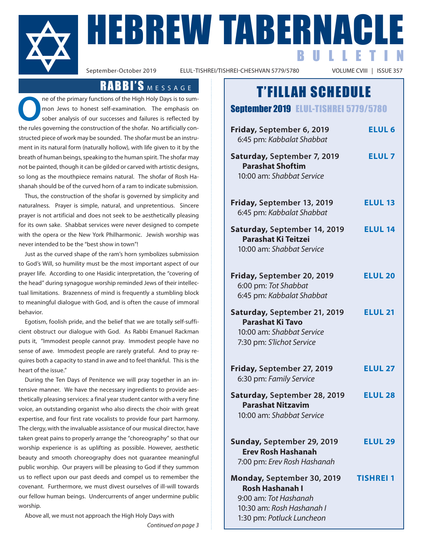

September-October 2019<br>September-October 2019<br>ELUL-TISHREI/TISHREI-CHESHVAN 5779/5780<br>September-October 2019<br>September-October 2019 BULLETIN

ELUL-TISHREI/TISHREI-CHESHVAN 5779/5780

## RABBI'S MESSAGE

ne of the primary functions of the High Holy Days is to summon Jews to honest self-examination. The emphasis on sober analysis of our successes and failures is reflected by the rules governing the construction of the shofar. No artificially constructed piece of work may be sounded. The shofar must be an instrument in its natural form (naturally hollow), with life given to it by the breath of human beings, speaking to the human spirit. The shofar may not be painted, though it can be gilded or carved with artistic designs, so long as the mouthpiece remains natural. The shofar of Rosh Hashanah should be of the curved horn of a ram to indicate submission.

 Thus, the construction of the shofar is governed by simplicity and naturalness. Prayer is simple, natural, and unpretentious. Sincere prayer is not artificial and does not seek to be aesthetically pleasing for its own sake. Shabbat services were never designed to compete with the opera or the New York Philharmonic. Jewish worship was never intended to be the "best show in town"!

 Just as the curved shape of the ram's horn symbolizes submission to God's Will, so humility must be the most important aspect of our prayer life. According to one Hasidic interpretation, the "covering of the head" during synagogue worship reminded Jews of their intellectual limitations. Brazenness of mind is frequently a stumbling block to meaningful dialogue with God, and is often the cause of immoral behavior.

 Egotism, foolish pride, and the belief that we are totally self-sufficient obstruct our dialogue with God. As Rabbi Emanuel Rackman puts it, "Immodest people cannot pray. Immodest people have no sense of awe. Immodest people are rarely grateful. And to pray requires both a capacity to stand in awe and to feel thankful. This is the heart of the issue."

 During the Ten Days of Penitence we will pray together in an intensive manner. We have the necessary ingredients to provide aesthetically pleasing services: a final year student cantor with a very fine voice, an outstanding organist who also directs the choir with great expertise, and four first rate vocalists to provide four part harmony. The clergy, with the invaluable assistance of our musical director, have taken great pains to properly arrange the "choreography" so that our worship experience is as uplifting as possible. However, aesthetic beauty and smooth choreography does not guarantee meaningful public worship. Our prayers will be pleasing to God if they summon us to reflect upon our past deeds and compel us to remember the covenant. Furthermore, we must divest ourselves of ill-will towards our fellow human beings. Undercurrents of anger undermine public worship.

Above all, we must not approach the High Holy Days with

*Continued on page 3*

## T'FILLAH SCHEDULE

#### September 2019 ELUL-TISHREI 5779/5780

| Friday, September 6, 2019<br>6:45 pm: Kabbalat Shabbat                                                                                  | <b>ELUL 6</b>  |
|-----------------------------------------------------------------------------------------------------------------------------------------|----------------|
| Saturday, September 7, 2019<br><b>Parashat Shoftim</b><br>10:00 am: Shabbat Service                                                     | <b>ELUL7</b>   |
| Friday, September 13, 2019<br>6:45 pm: Kabbalat Shabbat                                                                                 | <b>ELUL 13</b> |
| Saturday, September 14, 2019<br><b>Parashat Ki Teitzei</b><br>10:00 am: Shabbat Service                                                 | <b>ELUL 14</b> |
| Friday, September 20, 2019<br>6:00 pm: Tot Shabbat<br>6:45 pm: Kabbalat Shabbat                                                         | <b>ELUL 20</b> |
| Saturday, September 21, 2019<br><b>Parashat Ki Tavo</b><br>10:00 am: Shabbat Service<br>7:30 pm: S'lichot Service                       | <b>ELUL 21</b> |
| Friday, September 27, 2019<br>6:30 pm: Family Service                                                                                   | <b>ELUL 27</b> |
| Saturday, September 28, 2019<br><b>Parashat Nitzavim</b><br>10:00 am: Shabbat Service                                                   | <b>ELUL 28</b> |
| Sunday, September 29, 2019<br><b>Frey Rosh Hashanah</b><br>7:00 pm: Erev Rosh Hashanah                                                  | <b>ELUL 29</b> |
| Monday, September 30, 2019<br><b>Rosh Hashanah I</b><br>9:00 am: Tot Hashanah<br>10:30 am: Rosh Hashanah I<br>1:30 pm: Potluck Luncheon | TISHREI        |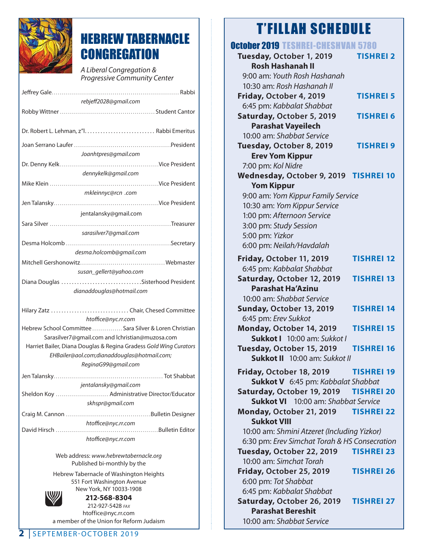

## HEBREW TABERNACLE **CONGREGATION**

 A Liberal Congregation & Progressive Community Center

| rebjeff2028@gmail.com                                                                                     |  |  |
|-----------------------------------------------------------------------------------------------------------|--|--|
|                                                                                                           |  |  |
|                                                                                                           |  |  |
|                                                                                                           |  |  |
| Joanhtpres@gmail.com                                                                                      |  |  |
| dennykelk@gmail.com                                                                                       |  |  |
|                                                                                                           |  |  |
| mkleinnyc@rcn .com                                                                                        |  |  |
|                                                                                                           |  |  |
| jentalansky@gmail.com                                                                                     |  |  |
|                                                                                                           |  |  |
| sarasilver7@gmail.com                                                                                     |  |  |
|                                                                                                           |  |  |
| desma.holcomb@gmail.com                                                                                   |  |  |
|                                                                                                           |  |  |
| susan_gellert@yahoo.com                                                                                   |  |  |
| Diana Douglas Sisterhood President                                                                        |  |  |
| dianaddouglas@hotmail.com                                                                                 |  |  |
| Hilary Zatz Chair, Chesed Committee                                                                       |  |  |
| htoffice@nyc.rr.com                                                                                       |  |  |
| Hebrew School Committee  Sara Silver & Loren Christian<br>Sarasilver7@gmail.com and lchristian@muzosa.com |  |  |
| Harriet Bailer, Diana Douglas & Regina Gradess Gold Wing Curators                                         |  |  |
| EHBailer@aol.com;dianaddouglas@hotmail.com;                                                               |  |  |
| ReginaG99@gmail.com                                                                                       |  |  |
|                                                                                                           |  |  |
| jentalansky@gmail.com<br>Sheldon Koy  Administrative Director/Educator                                    |  |  |
| skhspr@gmail.com                                                                                          |  |  |
|                                                                                                           |  |  |
| htoffice@nyc.rr.com                                                                                       |  |  |
| David Hirsch<br>Bulletin Editor                                                                           |  |  |
| htoffice@nyc.rr.com                                                                                       |  |  |
| Web address: www.hebrewtabernacle.org                                                                     |  |  |

Web address: www.hebrewtabernacle.org Published bi-monthly by the

Hebrew Tabernacle of Washington Heights 551 Fort Washington Avenue New York, NY 10033-1908



**212-568-8304** 212-927-5428 FAX htoffice@nyc.rr.com a member of the Union for Reform Judaism

## October 2019 TESHREI-CHESHVAN 5780

| UGWUGI ZOIS TESHINEEGHESHVAR                  |                   |
|-----------------------------------------------|-------------------|
| Tuesday, October 1, 2019                      | <b>TISHREI 2</b>  |
| <b>Rosh Hashanah II</b>                       |                   |
| 9:00 am: Youth Rosh Hashanah                  |                   |
| 10:30 am: Rosh Hashanah II                    |                   |
| Friday, October 4, 2019                       | <b>TISHREI 5</b>  |
| 6:45 pm: Kabbalat Shabbat                     |                   |
| Saturday, October 5, 2019                     | <b>TISHREI 6</b>  |
| <b>Parashat Vayeilech</b>                     |                   |
| 10:00 am: Shabbat Service                     |                   |
| Tuesday, October 8, 2019                      | <b>TISHREI 9</b>  |
| <b>Erev Yom Kippur</b>                        |                   |
| 7:00 pm: Kol Nidre                            |                   |
| Wednesday, October 9, 2019 TISHREI 10         |                   |
| <b>Yom Kippur</b>                             |                   |
| 9:00 am: Yom Kippur Family Service            |                   |
| 10:30 am: Yom Kippur Service                  |                   |
| 1:00 pm: Afternoon Service                    |                   |
| 3:00 pm: Study Session                        |                   |
| 5:00 pm: Yizkor                               |                   |
| 6:00 pm: Neilah/Havdalah                      |                   |
| Friday, October 11, 2019                      | <b>TISHREI 12</b> |
| 6:45 pm: Kabbalat Shabbat                     |                   |
| Saturday, October 12, 2019                    | <b>TISHREI 13</b> |
| <b>Parashat Ha'Azinu</b>                      |                   |
| 10:00 am: Shabbat Service                     |                   |
| Sunday, October 13, 2019                      | <b>TISHREI 14</b> |
| 6:45 pm: Erev Sukkot                          |                   |
| Monday, October 14, 2019                      | <b>TISHREI 15</b> |
| Sukkot   10:00 am: Sukkot                     |                   |
| Tuesday, October 15, 2019                     | <b>TISHREI 16</b> |
| <b>Sukkot II</b> 10:00 am: Sukkot II          |                   |
| Friday, October 18, 2019                      | <b>TISHREI 19</b> |
| Sukkot V 6:45 pm: Kabbalat Shabbat            |                   |
| Saturday, October 19, 2019                    | <b>TISHREI 20</b> |
| <b>Sukkot VI</b> 10:00 am: Shabbat Service    |                   |
| Monday, October 21, 2019                      | <b>TISHREI 22</b> |
| <b>Sukkot VIII</b>                            |                   |
| 10:00 am: Shmini Atzeret (Including Yizkor)   |                   |
| 6:30 pm: Erev Simchat Torah & HS Consecration |                   |
| Tuesday, October 22, 2019                     | <b>TISHREI 23</b> |
| 10:00 am: Simchat Torah                       |                   |
| Friday, October 25, 2019                      | <b>TISHREI 26</b> |
| 6:00 pm: Tot Shabbat                          |                   |
| 6:45 pm: Kabbalat Shabbat                     |                   |
| Saturday, October 26, 2019                    | <b>TISHREI 27</b> |
| <b>Parashat Bereshit</b>                      |                   |
| 10:00 am: Shabbat Service                     |                   |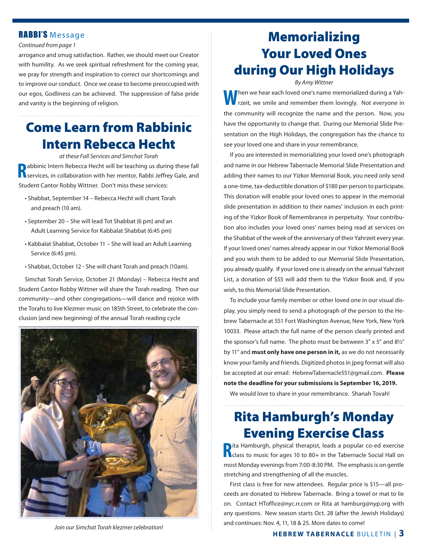#### RABBI'S Message

#### *Continued from page 1*

arrogance and smug satisfaction. Rather, we should meet our Creator with humility. As we seek spiritual refreshment for the coming year, we pray for strength and inspiration to correct our shortcomings and to improve our conduct. Once we cease to become preoccupied with our egos, Godliness can be achieved. The suppression of false pride and vanity is the beginning of religion.

## **Come Learn from Rabbinic Intern Rebecca Hecht**

*at these Fall Services and Simchat Torah* **R** abbinic Intern Rebecca Hecht will be teaching us during these fall services, in collaboration with her mentor, Rabbi Jeffrey Gale, and Student Cantor Robby Wittner. Don't miss these services:

- Shabbat, September 14 Rebecca Hecht will chant Torah and preach (10 am).
- September 20 She will lead Tot Shabbat (6 pm) and an Adult Learning Service for Kabbalat Shabbat (6:45 pm)
- Kabbalat Shabbat, October 11 She will lead an Adult Learning Service (6:45 pm).
- Shabbat, October 12 She will chant Torah and preach (10am).

 Simchat Torah Service, October 21 (Monday) – Rebecca Hecht and Student Cantor Robby Wittner will share the Torah reading. Then our community—and other congregations—will dance and rejoice with the Torahs to live Klezmer music on 185th Street, to celebrate the conclusion (and new beginning) of the annual Torah reading cycle



sentation on the High Holidays, the congregation has the chance to see your loved one and share in your remembrance.

 If you are interested in memorializing your loved one's photograph and name in our Hebrew Tabernacle Memorial Slide Presentation and adding their names to our Yizkor Memorial Book, you need only send a one-time, tax-deductible donation of \$180 per person to participate. This donation will enable your loved ones to appear in the memorial slide presentation in addition to their names' inclusion in each printing of the Yizkor Book of Remembrance in perpetuity. Your contribution also includes your loved ones' names being read at services on the Shabbat of the week of the anniversary of their Yahrzeit every year. If your loved ones' names already appear in our Yizkor Memorial Book and you wish them to be added to our Memorial Slide Presentation, you already qualify. If your loved one is already on the annual Yahrzeit List, a donation of \$55 will add them to the Yizkor Book and, if you wish, to this Memorial Slide Presentation.

**Memorializing**

**Your Loved Ones**

**during Our High Holidays** *By Amy Wittner* **W**hen we hear each loved one's name memorialized during a Yahrzeit, we smile and remember them lovingly. Not everyone in the community will recognize the name and the person. Now, you have the opportunity to change that. During our Memorial Slide Pre-

 To include your family member or other loved one in our visual display, you simply need to send a photograph of the person to the Hebrew Tabernacle at 551 Fort Washington Avenue, New York, New York 10033. Please attach the full name of the person clearly printed and the sponsor's full name. The photo must be between 3" x 5" and 8½" by 11" and **must only have one person in it,** as we do not necessarily know your family and friends. Digitized photos in jpeg format will also be accepted at our email: HebrewTabernacle551@gmail.com. **Please note the deadline for your submissions is September 16, 2019.**

We would love to share in your remembrance. Shanah Tovah!

## **Rita Hamburgh's Monday Evening Exercise Class**

**R** and a popular co-ed exercise<br> **R** class to music for ages 10 to 80+ in the Tabernacle Social Hall on ita Hamburgh, physical therapist, leads a popular co-ed exercise most Monday evenings from 7:00-8:30 PM. The emphasis is on gentle stretching and strengthening of all the muscles.

 First class is free for new attendees. Regular price is \$15—all proceeds are donated to Hebrew Tabernacle. Bring a towel or mat to lie on. Contact HToffice@nyc.rr.com or Rita at hamburg@nyp.org with any questions. New season starts Oct. 28 (after the Jewish Holidays) and continues: Nov. 4, 11, 18 & 25. More dates to come!

*Join our Simchat Torah klezmer celebration!*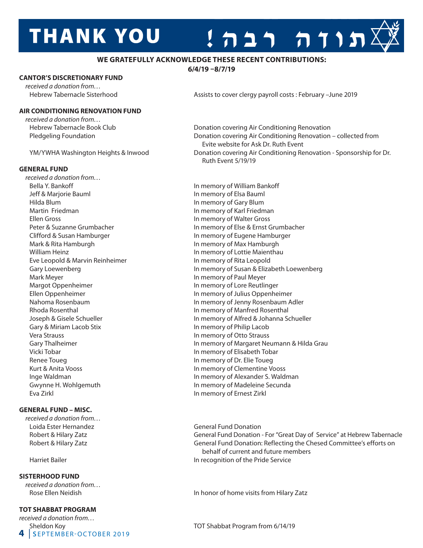# **THANK YOU**



**6/4/19 –8/7/19**

#### **CANTOR'S DISCRETIONARY FUND**

 *received a donation from…*

#### **AIR CONDITIONING RENOVATION FUND**

 *received a donation from…*

#### **GENERAL FUND**

 *received a donation from…* Bella Y. Bankoff **In memory of William Bankoff In memory of William Bankoff** Jeff & Marjorie Bauml **In Markow Communist Communist Communist Communist Communist Communist Communist Communist Communist Communist Communist Communist Communist Communist Communist Communist Communist Communist Communist**  Hilda Blum In memory of Gary Blum Martin Friedman **In Martin Friedman** In memory of Karl Friedman Ellen Gross<br>
Peter & Suzanne Grumbacher<br>
Peter & Suzanne Grumbacher<br>
In memory of Else & Ernst ( Mark & Rita Hamburgh **In Mark & Rita Hamburgh In memory of Max Hamburgh** William Heinz **In Market and American** In memory of Lottie Maienthau Eve Leopold & Marvin Reinheimer In memory of Rita Leopold Mark Meyer **In memory of Paul Meyer** In memory of Paul Meyer Margot Oppenheimer **In memory of Lore Reutlinger** In memory of Lore Reutlinger Rhoda Rosenthal **In memory of Manfred Rosenthal In memory of Manfred Rosenthal** Gary & Miriam Lacob Stix **In memory of Philip Lacob**  Vera Strauss In memory of Otto Strauss Vicki Tobar In memory of Elisabeth Tobar Renee Toueg **In memory of Dr. Elie Toueg** Kurt & Anita Vooss **In memory of Clementine Vooss** In memory of Clementine Vooss Eva Zirkl **In memory of Ernest Zirkl** 

#### **GENERAL FUND – MISC.**

 *received a donation from…* Loida Ester Hernandez **General Fund Donation** 

#### **SISTERHOOD FUND**

 *received a donation from…* 

#### **TOT SHABBAT PROGRAM**

**4** Sheldon Koy<br>**4** SEPTEMBER-OCTOBER 2019 *received a donation from…*

Hebrew Tabernacle Sisterhood **Assists to cover clergy payroll costs : February –June 2019** Assists to cover clergy payroll costs : February –June 2019

תורה רבה!

 Hebrew Tabernacle Book Club Donation covering Air Conditioning Renovation Pledgeling Foundation **Donation** Donation covering Air Conditioning Renovation – collected from Evite website for Ask Dr. Ruth Event YM/YWHA Washington Heights & Inwood Donation covering Air Conditioning Renovation - Sponsorship for Dr. Ruth Event 5/19/19

In memory of Else & Ernst Grumbacher Clifford & Susan Hamburger **In memory of Eugene Hamburger** In memory of Eugene Hamburger Gary Loewenberg **In memory of Susan & Elizabeth Loewenberg** In memory of Susan & Elizabeth Loewenberg Ellen Oppenheimer In memory of Julius Oppenheimer Nahoma Rosenbaum In memory of Jenny Rosenbaum Adler Joseph & Gisele Schueller **In memory of Alfred & Johanna Schueller** Gary Thalheimer **In Margaret Neumann & Hilda Grau** In memory of Margaret Neumann & Hilda Grau Inge Waldman **In memory of Alexander S. Waldman** Gwynne H. Wohlgemuth **In memory of Madeleine Secunda** 

Robert & Hilary Zatz **General Fund Donation - For "Great Day of Service" at Hebrew Tabernacle** Robert & Hilary Zatz **General Fund Donation: Reflecting the Chesed Committee's efforts on**  behalf of current and future members Harriet Bailer **In recognition of the Pride Service In recognition of the Pride Service** 

Rose Ellen Neidish **In honor of home visits from Hilary Zatz** 

TOT Shabbat Program from 6/14/19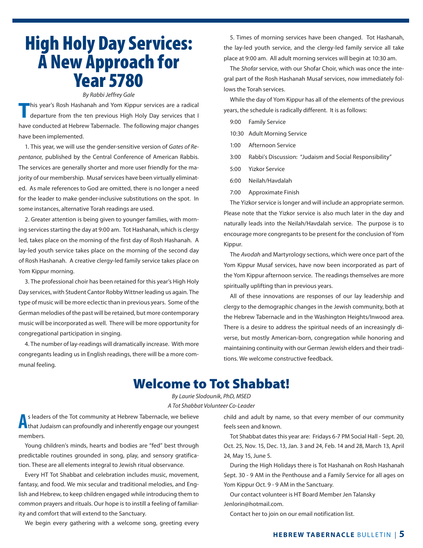# **High Holy Day Services: Year 5780**

#### *By Rabbi Jeffrey Gale*<br>ashanah and Yom Kippur *By Rabbi Jeffrey Gale*

*This year's Rosh Hashanah and Yom Kippur services are a radical*<br>departure from the ten previous High Holy Day services that I departure from the ten previous High Holy Day services that I have conducted at Hebrew Tabernacle. The following major changes have been implemented.

 1. This year, we will use the gender-sensitive version of *Gates of Repentance,* published by the Central Conference of American Rabbis. The services are generally shorter and more user friendly for the majority of our membership. Musaf services have been virtually eliminated. As male references to God are omitted, there is no longer a need for the leader to make gender-inclusive substitutions on the spot. In some instances, alternative Torah readings are used.

 2. Greater attention is being given to younger families, with morning services starting the day at 9:00 am. Tot Hashanah, which is clergy led, takes place on the morning of the first day of Rosh Hashanah. A lay-led youth service takes place on the morning of the second day of Rosh Hashanah. A creative clergy-led family service takes place on Yom Kippur morning.

 3. The professional choir has been retained for this year's High Holy Day services, with Student Cantor Robby Wittner leading us again. The type of music will be more eclectic than in previous years. Some of the German melodies of the past will be retained, but more contemporary music will be incorporated as well. There will be more opportunity for congregational participation in singing.

 4. The number of lay-readings will dramatically increase. With more congregants leading us in English readings, there will be a more communal feeling.

 5. Times of morning services have been changed. Tot Hashanah, the lay-led youth service, and the clergy-led family service all take place at 9:00 am. All adult morning services will begin at 10:30 am.

 The *Shofar* service, with our Shofar Choir, which was once the integral part of the Rosh Hashanah Musaf services, now immediately follows the Torah services.

 While the day of Yom Kippur has all of the elements of the previous years, the schedule is radically different. It is as follows:

- 9:00 Family Service
- 10:30 Adult Morning Service
- 1:00 Afternoon Service
- 3:00 Rabbi's Discussion: "Judaism and Social Responsibility"
- 5:00 Yizkor Service
- 6:00 Neilah/Havdalah
- 7:00 Approximate Finish

 The Yizkor service is longer and will include an appropriate sermon. Please note that the Yizkor service is also much later in the day and naturally leads into the Neilah/Havdalah service. The purpose is to encourage more congregants to be present for the conclusion of Yom Kippur.

 The *Avodah* and Martyrology sections, which were once part of the Yom Kippur Musaf services, have now been incorporated as part of the Yom Kippur afternoon service. The readings themselves are more spiritually uplifting than in previous years.

 All of these innovations are responses of our lay leadership and clergy to the demographic changes in the Jewish community, both at the Hebrew Tabernacle and in the Washington Heights/Inwood area. There is a desire to address the spiritual needs of an increasingly diverse, but mostly American-born, congregation while honoring and maintaining continuity with our German Jewish elders and their traditions. We welcome constructive feedback.

## **Welcome to Tot Shabbat!**

*By Laurie Slodounik, PhD, MSED A Tot Shabbat Volunteer Co-Leader*

**A** s leaders of the Tot community at Hebrew Tabernacle, we believe<br>
that Judaism can profoundly and inherently engage our youngest s leaders of the Tot community at Hebrew Tabernacle, we believe members.

 Young children's minds, hearts and bodies are "fed" best through predictable routines grounded in song, play, and sensory gratification. These are all elements integral to Jewish ritual observance.

 Every HT Tot Shabbat and celebration includes music, movement, fantasy, and food. We mix secular and traditional melodies, and English and Hebrew, to keep children engaged while introducing them to common prayers and rituals. Our hope is to instill a feeling of familiarity and comfort that will extend to the Sanctuary.

We begin every gathering with a welcome song, greeting every

child and adult by name, so that every member of our community feels seen and known.

 Tot Shabbat dates this year are: Fridays 6-7 PM Social Hall - Sept. 20, Oct. 25, Nov. 15, Dec. 13, Jan. 3 and 24, Feb. 14 and 28, March 13, April 24, May 15, June 5.

 During the High Holidays there is Tot Hashanah on Rosh Hashanah Sept. 30 - 9 AM in the Penthouse and a Family Service for all ages on Yom Kippur Oct. 9 - 9 AM in the Sanctuary.

 Our contact volunteer is HT Board Member Jen Talansky Jenlorin@hotmail.com.

Contact her to join on our email notification list.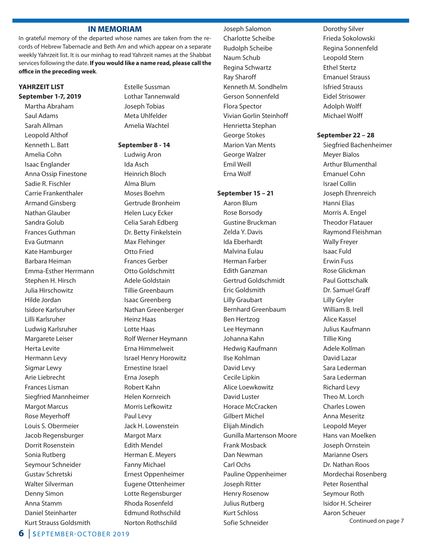#### **IN MEMORIAM**

In grateful memory of the departed whose names are taken from the records of Hebrew Tabernacle and Beth Am and which appear on a separate weekly Yahrzeit list. It is our minhag to read Yahrzeit names at the Shabbat services following the date. **If you would like a name read, please call the offi ce in the preceding week**.

#### **YAHRZEIT LIST**

**September 1-7, 2019** Martha Abraham Saul Adams Sarah Allman Leopold Althof Kenneth L. Batt Amelia Cohn Isaac Englander Anna Ossip Finestone Sadie R. Fischler Carrie Frankenthaler Armand Ginsberg Nathan Glauber Sandra Golub Frances Guthman Eva Gutmann Kate Hamburger Barbara Heiman Emma-Esther Herrmann Stephen H. Hirsch Julia Hirschowitz Hilde Jordan Isidore Karlsruher Lilli Karlsruher Ludwig Karlsruher Margarete Leiser Herta Levite Hermann Levy Sigmar Lewy Arie Liebrecht Frances Lisman Siegfried Mannheimer Margot Marcus Rose Meyerhoff Louis S. Obermeier Jacob Regensburger Dorrit Rosenstein Sonia Rutberg Seymour Schneider Gustav Schretski Walter Silverman Denny Simon Anna Stamm Daniel Steinharter Kurt Strauss Goldsmith

 Estelle Sussman Lothar Tannenwald Joseph Tobias Meta Uhlfelder Amelia Wachtel

#### **September 8 - 14**

 Ludwig Aron Ida Asch Heinrich Bloch Alma Blum Moses Boehm Gertrude Bronheim Helen Lucy Ecker Celia Sarah Edberg Dr. Betty Finkelstein Max Flehinger Otto Fried Frances Gerber Otto Goldschmitt Adele Goldstain Tillie Greenbaum Isaac Greenberg Nathan Greenberger Heinz Haas Lotte Haas Rolf Werner Heymann Erna Himmelweit Israel Henry Horowitz Ernestine Israel Erna Joseph Robert Kahn Helen Kornreich Morris Lefkowitz Paul Levy Jack H. Lowenstein Margot Marx Edith Mendel Herman E. Meyers Fanny Michael Ernest Oppenheimer Eugene Ottenheimer Lotte Regensburger Rhoda Rosenfeld Edmund Rothschild Norton Rothschild

 Joseph Salomon Charlotte Scheibe Rudolph Scheibe Naum Schub Regina Schwartz Ray Sharoff Kenneth M. Sondhelm Gerson Sonnenfeld Flora Spector Vivian Gorlin Steinhoff Henrietta Stephan George Stokes Marion Van Ments George Walzer Emil Weill

#### **September 15 – 21**

Erna Wolf

 Aaron Blum Rose Borsody Gustine Bruckman Zelda Y. Davis Ida Eberhardt Malvina Eulau Herman Farber Edith Ganzman Gertrud Goldschmidt Eric Goldsmith Lilly Graubart Bernhard Greenbaum Ben Hertzog Lee Heymann Johanna Kahn Hedwig Kaufmann Ilse Kohlman David Levy Cecile Lipkin Alice Loewkowitz David Luster Horace McCracken Gilbert Michel Elijah Mindich Gunilla Martenson Moore Frank Mosback Dan Newman Carl Ochs Pauline Oppenheimer Joseph Ritter Henry Rosenow Julius Rutberg Kurt Schloss Sofie Schneider

 Dorothy Silver Frieda Sokolowski Regina Sonnenfeld Leopold Stern Ethel Stertz Emanuel Strauss Isfried Strauss Eidel Strisower Adolph Wolff Michael Wolff

#### **September 22 – 28**

 Siegfried Bachenheimer Meyer Bialos Arthur Blumenthal Emanuel Cohn Israel Collin Joseph Ehrenreich Hanni Elias Morris A. Engel Theodor Flatauer Raymond Fleishman Wally Freyer Isaac Fuld Erwin Fuss Rose Glickman Paul Gottschalk Dr. Samuel Graff Lilly Gryler William B. Irell Alice Kassel Julius Kaufmann Tillie King Adele Kollman David Lazar Sara Lederman Sara Lederman Richard Levy Theo M. Lorch Charles Lowen Anna Meseritz Leopold Meyer Hans van Moelken Joseph Ornstein Marianne Osers Dr. Nathan Roos Mordechai Rosenberg Peter Rosenthal Seymour Roth Isidor H. Scheirer Aaron Scheuer Continued on page 7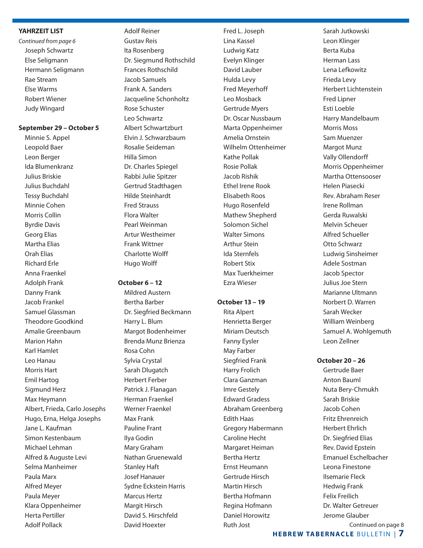#### **YAHRZEIT LIST**

*Continued from page 6* Joseph Schwartz Else Seligmann Hermann Seligmann Rae Stream Else Warms Robert Wiener Judy Wingard

#### **September 29 – October 5**

 Minnie S. Appel Leopold Baer Leon Berger Ida Blumenkranz Julius Briskie Julius Buchdahl Tessy Buchdahl Minnie Cohen Morris Collin Byrdie Davis Georg Elias Martha Elias Orah Elias Richard Erle Anna Fraenkel Adolph Frank Danny Frank Jacob Frankel Samuel Glassman Theodore Goodkind Amalie Greenbaum Marion Hahn Karl Hamlet Leo Hanau Morris Hart Emil Hartog Sigmund Herz Max Heymann Albert, Frieda, Carlo Josephs Hugo, Erna, Helga Josephs Jane L. Kaufman Simon Kestenbaum Michael Lehman Alfred & Auguste Levi Selma Manheimer Paula Marx Alfred Meyer Paula Meyer Klara Oppenheimer Herta Pertiller Adolf Pollack

#### Adolf Reiner Gustav Reis Ita Rosenberg Dr. Siegmund Rothschild Frances Rothschild Jacob Samuels Frank A. Sanders Jacqueline Schonholtz Rose Schuster Leo Schwartz Albert Schwartzburt Elvin J. Schwarzbaum Rosalie Seideman Hilla Simon Dr. Charles Spiegel Rabbi Julie Spitzer Gertrud Stadthagen Hilde Steinhardt Fred Strauss Flora Walter Pearl Weinman Artur Westheimer Frank Wittner

**October 6 – 12**

 Charlotte Wolff Hugo Wolff

 Mildred Austern Bertha Barber Dr. Siegfried Beckmann Harry L. Blum Margot Bodenheimer Brenda Munz Brienza Rosa Cohn Sylvia Crystal Sarah Dlugatch Herbert Ferber Patrick J. Flanagan Herman Fraenkel Werner Fraenkel Max Frank Pauline Frant Ilya Godin Mary Graham Nathan Gruenewald Stanley Haft Josef Hanauer Sydne Eckstein Harris Marcus Hertz Margit Hirsch David S. Hirschfeld David Hoexter

 Fred L. Joseph Lina Kassel Ludwig Katz Evelyn Klinger David Lauber Hulda Levy Fred Meyerhoff Leo Mosback Gertrude Myers Dr. Oscar Nussbaum Marta Oppenheimer Amelia Ornstein Wilhelm Ottenheimer Kathe Pollak Rosie Pollak Jacob Rishik Ethel Irene Rook Elisabeth Roos Hugo Rosenfeld Mathew Shepherd Solomon Sichel Walter Simons Arthur Stein Ida Sternfels Robert Stix Max Tuerkheimer Ezra Wieser

#### **October 13 – 19**

 Rita Alpert Henrietta Berger Miriam Deutsch Fanny Eysler May Farber Siegfried Frank Harry Frolich Clara Ganzman Imre Gestely Edward Gradess Abraham Greenberg Edith Haas Gregory Habermann Caroline Hecht Margaret Heiman Bertha Hertz Ernst Heumann Gertrude Hirsch Martin Hirsch Bertha Hofmann Regina Hofmann Daniel Horowitz Ruth Jost

 Sarah Jutkowski Leon Klinger Berta Kuba Herman Lass Lena Lefkowitz Frieda Levy Herbert Lichtenstein Fred Lipner Esti Loeble Harry Mandelbaum Morris Moss Sam Muenzer Margot Munz Vally Ollendorff Morris Oppenheimer Martha Ottensooser Helen Piasecki Rev. Abraham Reser Irene Rollman Gerda Ruwalski Melvin Scheuer Alfred Schueller Otto Schwarz Ludwig Sinsheimer Adele Sostman Jacob Spector Julius Joe Stern Marianne Ultmann Norbert D. Warren Sarah Wecker William Weinberg Samuel A. Wohlgemuth Leon Zellner

#### **October 20 – 26**

 Gertrude Baer Anton Bauml Nuta Bery-Chmukh Sarah Briskie Jacob Cohen Fritz Ehrenreich Herbert Ehrlich Dr. Siegfried Elias Rev. David Epstein Emanuel Eschelbacher Leona Finestone Ilsemarie Fleck Hedwig Frank Felix Freilich Dr. Walter Getreuer Jerome Glauber Continued on page 8

**HEBREW TABERNACLE BULLETIN | 7**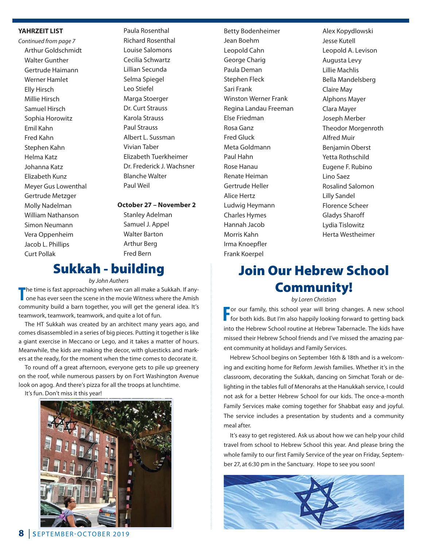#### **YAHRZEIT LIST**

*Continued from page 7* Arthur Goldschmidt Walter Gunther Gertrude Haimann Werner Hamlet Elly Hirsch Millie Hirsch Samuel Hirsch Sophia Horowitz Emil Kahn Fred Kahn Stephen Kahn Helma Katz Johanna Katz Elizabeth Kunz Meyer Gus Lowenthal Gertrude Metzger Molly Nadelman William Nathanson Simon Neumann Vera Oppenheim Jacob L. Phillips Curt Pollak

 Paula Rosenthal Richard Rosenthal Louise Salomons Cecilia Schwartz Lillian Secunda Selma Spiegel Leo Stiefel Marga Stoerger Dr. Curt Strauss Karola Strauss Paul Strauss Albert L. Sussman Vivian Taber Elizabeth Tuerkheimer Dr. Frederick J. Wachsner Blanche Walter Paul Weil

**October 27 – November 2**

 Stanley Adelman Samuel J. Appel Walter Barton Arthur Berg Fred Bern

## **Sukkah - building**

#### *by John Authers*

**T** he time is fast approaching when we can all make a Sukkah. If anyone has ever seen the scene in the movie Witness where the Amish community build a barn together, you will get the general idea. It's teamwork, teamwork, teamwork, and quite a lot of fun.

 The HT Sukkah was created by an architect many years ago, and comes disassembled in a series of big pieces. Putting it together is like a giant exercise in Meccano or Lego, and it takes a matter of hours. Meanwhile, the kids are making the decor, with gluesticks and markers at the ready, for the moment when the time comes to decorate it.

 To round off a great afternoon, everyone gets to pile up greenery on the roof, while numerous passers by on Fort Washington Avenue look on agog. And there's pizza for all the troops at lunchtime.

It's fun. Don't miss it this year!



**8** | s EPTEMBER-OCTOBER 2019

 Betty Bodenheimer Jean Boehm Leopold Cahn George Charig Paula Deman Stephen Fleck Sari Frank Winston Werner Frank Regina Landau Freeman Else Friedman Rosa Ganz Fred Gluck Meta Goldmann Paul Hahn Rose Hanau Renate Heiman Gertrude Heller Alice Hertz Ludwig Heymann Charles Hymes Hannah Jacob Morris Kahn Irma Knoepfler Frank Koerpel

 Alex Kopydlowski Jesse Kutell Leopold A. Levison Augusta Levy Lillie Machlis Bella Mandelsberg Claire May Alphons Mayer Clara Mayer Joseph Merber Theodor Morgenroth Alfred Muir Benjamin Oberst Yetta Rothschild Eugene F. Rubino Lino Saez Rosalind Salomon Lilly Sandel Florence Scheer Gladys Sharoff Lydia Tislowitz Herta Westheimer

## **Join Our Hebrew School Community!**

*by Loren Christian*

**F F** or our family, this school year will bring changes. A new school **F** for both kids. But I'm also happily looking forward to getting back or our family, this school year will bring changes. A new school into the Hebrew School routine at Hebrew Tabernacle. The kids have missed their Hebrew School friends and I've missed the amazing parent community at holidays and Family Services.

 Hebrew School begins on September 16th & 18th and is a welcoming and exciting home for Reform Jewish families. Whether it's in the classroom, decorating the Sukkah, dancing on Simchat Torah or delighting in the tables full of Menorahs at the Hanukkah service, I could not ask for a better Hebrew School for our kids. The once-a-month Family Services make coming together for Shabbat easy and joyful. The service includes a presentation by students and a community meal after.

 It's easy to get registered. Ask us about how we can help your child travel from school to Hebrew School this year. And please bring the whole family to our first Family Service of the year on Friday, September 27, at 6:30 pm in the Sanctuary. Hope to see you soon!

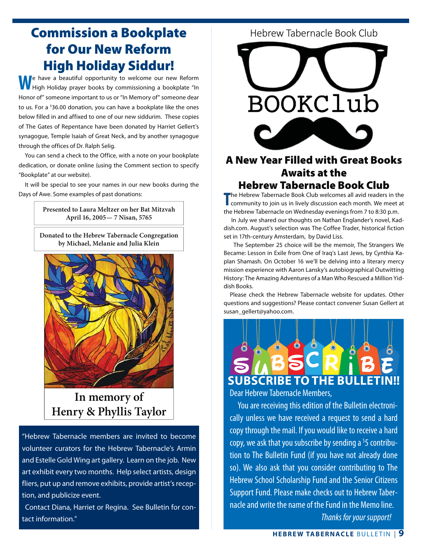## **Commission a Bookplate for Our New Reform High Holiday Siddur!**

**W**e have a beautiful opportunity to welcome our new Reform High Holiday prayer books by commissioning a bookplate "In Honor of" someone important to us or "In Memory of" someone dear to us. For a <sup>\$</sup>36.00 donation, you can have a bookplate like the ones below filled in and affixed to one of our new siddurim. These copies of The Gates of Repentance have been donated by Harriet Gellert's synagogue, Temple Isaiah of Great Neck, and by another synagogue through the offices of Dr. Ralph Selig.

 You can send a check to the Office, with a note on your bookplate dedication, or donate online (using the Comment section to specify "Bookplate" at our website).

 It will be special to see your names in our new books during the Days of Awe. Some examples of past donations:

> **Presented to Laura Meltzer on her Bat Mitzvah April 16, 2005— 7 Nisan, 5765**

**Donated to the Hebrew Tabernacle Congregation by Michael, Melanie and Julia Klein**



**In memory of Henry & Phyllis Taylor**

"Hebrew Tabernacle members are invited to become volunteer curators for the Hebrew Tabernacle's Armin and Estelle Gold Wing art gallery. Learn on the job. New art exhibit every two months. Help select artists, design fliers, put up and remove exhibits, provide artist's reception, and publicize event.

 Contact Diana, Harriet or Regina. See Bulletin for contact information."

Hebrew Tabernacle Book Club



## **A New Year Filled with Great Books Awaits at the Hebrew Tabernacle Book Club**

**THE COMMON TRIVER THERE COOK CITY**<br>The Hebrew Tabernacle Book Club welcomes all avid readers in the<br>community to join us in lively discussion each month. We meet at he Hebrew Tabernacle Book Club welcomes all avid readers in the the Hebrew Tabernacle on Wednesday evenings from 7 to 8:30 p.m.

 In July we shared our thoughts on Nathan Englander's novel, Kaddish.com. August's selection was The Coffee Trader, historical fiction set in 17th-century Amsterdam, by David Liss.

 The September 25 choice will be the memoir, The Strangers We Became: Lesson in Exile from One of Iraq's Last Jews, by Cynthia Kaplan Shamash. On October 16 we'll be delving into a literary mercy mission experience with Aaron Lansky's autobiographical Outwitting History: The Amazing Adventures of a Man Who Rescued a Million Yiddish Books.

 Please check the Hebrew Tabernacle website for updates. Other questions and suggestions? Please contact convener Susan Gellert at susan\_gellert@yahoo.com.



Dear Hebrew Tabernacle Members,

You are receiving this edition of the Bulletin electronically unless we have received a request to send a hard copy through the mail. If you would like to receive a hard copy, we ask that you subscribe by sending a <sup>\$</sup>5 contribution to The Bulletin Fund (if you have not already done so). We also ask that you consider contributing to The Hebrew School Scholarship Fund and the Senior Citizens Support Fund. Please make checks out to Hebrew Tabernacle and write the name of the Fund in the Memo line. *Thanks for your support!*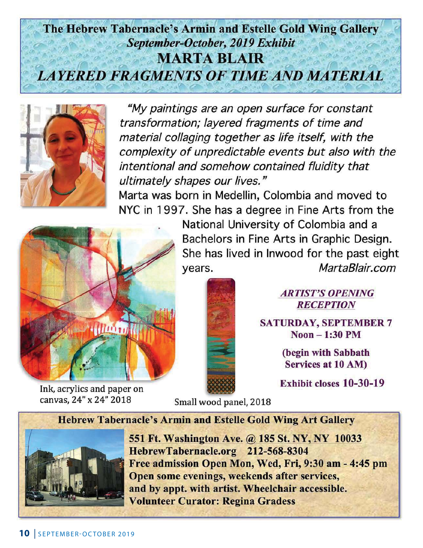## The Hebrew Tabernacle's Armin and Estelle Gold Wing Gallery September-October, 2019 Exhibit **MARTA BLAIR LAYERED FRAGMENTS OF TIME AND MATERIAL**



"My paintings are an open surface for constant transformation; layered fragments of time and material collaging together as life itself, with the complexity of unpredictable events but also with the intentional and somehow contained fluidity that ultimately shapes our lives."

Marta was born in Medellin, Colombia and moved to NYC in 1997. She has a degree in Fine Arts from the



Ink, acrylics and paper on canvas, 24" x 24" 2018

National University of Colombia and a Bachelors in Fine Arts in Graphic Design. She has lived in Inwood for the past eight MartaBlair.com years.



### **ARTIST'S OPENING RECEPTION**

**SATURDAY, SEPTEMBER 7**  $Noon - 1:30 PM$ 

> (begin with Sabbath **Services at 10 AM)**

**Exhibit closes 10-30-19** 

Small wood panel, 2018

**Hebrew Tabernacle's Armin and Estelle Gold Wing Art Gallery** 



551 Ft. Washington Ave. @ 185 St. NY, NY 10033 HebrewTabernacle.org 212-568-8304 Free admission Open Mon, Wed, Fri, 9:30 am - 4:45 pm Open some evenings, weekends after services, and by appt. with artist. Wheelchair accessible. **Volunteer Curator: Regina Gradess**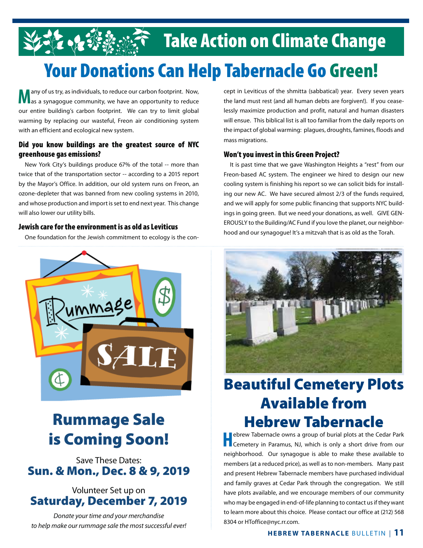# <u>र्दूट २५ अधिक प्रकारित Take Action on Climate Change</u><br>Your Donations Can Help Tabernacle Go Green!

**M** any of us try, as individuals, to reduce our carbon footprint. Now,  $\sum_{\text{as a syna} }$  synagoque community, we have an opportunity to reduce as a synagogue community, we have an opportunity to reduce our entire building's carbon footprint. We can try to limit global warming by replacing our wasteful, Freon air conditioning system with an efficient and ecological new system. For the stry, as individuals, to reduce our carbon footprint. Now, **Society Can Help Tabers Can Help Tabers Co** G<br>Capt in Leviticus of the shmitta (sabbatical) year. Every se

## **Did you know buildings are the greatest source of NYC**

**greenhouse gas emissions?** New York City's buildings produce 67% of the total -- more than twice that of the transportation sector -- according to a 2015 report by the Mayor's Office. In addition, our old system runs on Freon, an ozone-depleter that was banned from new cooling systems in 2010, and whose production and import is set to end next year. This change will also lower our utility bills.

One foundation for the Jewish commitment to ecology is the con-



## **Rummage Sale is Coming Soon!**

Save These Dates: **Sun. & Mon., Dec. 8 & 9, 2019**

### Volunteer Set up on **Saturday, December 7, 2019**

*Donate your time and your merchandise to help make our rummage sale the most successful ever!* cept in Leviticus of the shmitta (sabbatical) year. Every seven years the land must rest (and all human debts are forgiven!). If you ceaselessly maximize production and profit, natural and human disasters will ensue. This biblical list is all too familiar from the daily reports on the impact of global warming: plagues, droughts, famines, floods and mass migrations.

**EXECTS IN THE STATE OF STATE PROPERTIES IN THE STATE OF STATE IT IS PASS.**<br>It is past time that we gave Washington Heights a "rest" from our Freon-based AC system. The engineer we hired to design our new cooling system is finishing his report so we can solicit bids for installing our new AC. We have secured almost 2/3 of the funds required, and we will apply for some public financing that supports NYC buildings in going green. But we need your donations, as well. GIVE GEN-EROUSLY to the Building/AC Fund if you love the planet, our neighborhood and our synagogue! It's a mitzvah that is as old as the Torah.



## **Beautiful Cemetery Plots Available from Hebrew Tabernacle**<br>**I Tebrew Tabernacle** owns a group of burial plots at the Cedar Park

**HEBREW CHANGE CONSTRANS**<br>
Cemetery in Paramus, NJ, which is only a short drive from our neighborhood. Our synagogue is able to make these available to members (at a reduced price), as well as to non-members. Many past and present Hebrew Tabernacle members have purchased individual and family graves at Cedar Park through the congregation. We still have plots available, and we encourage members of our community who may be engaged in end-of-life planning to contact us if they want to learn more about this choice. Please contact our office at (212) 568 8304 or HToffice@nyc.rr.com.